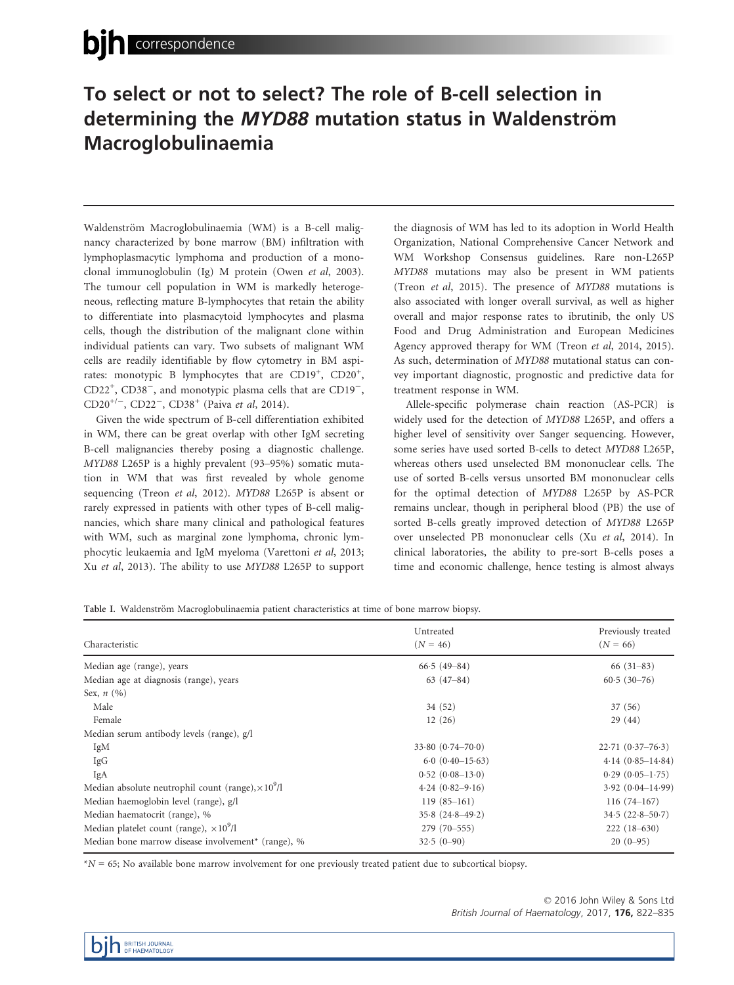# To select or not to select? The role of B-cell selection in determining the MYD88 mutation status in Waldenström Macroglobulinaemia

Waldenström Macroglobulinaemia (WM) is a B-cell malignancy characterized by bone marrow (BM) infiltration with lymphoplasmacytic lymphoma and production of a monoclonal immunoglobulin (Ig) M protein (Owen et al, 2003). The tumour cell population in WM is markedly heterogeneous, reflecting mature B-lymphocytes that retain the ability to differentiate into plasmacytoid lymphocytes and plasma cells, though the distribution of the malignant clone within individual patients can vary. Two subsets of malignant WM cells are readily identifiable by flow cytometry in BM aspirates: monotypic B lymphocytes that are CD19<sup>+</sup>, CD20<sup>+</sup>,  $CD22^+$ ,  $CD38^-$ , and monotypic plasma cells that are  $CD19^-$ ,  $CD20^{+/ -}$ ,  $CD22^{-}$ ,  $CD38^{+}$  (Paiva *et al*, 2014).

Given the wide spectrum of B-cell differentiation exhibited in WM, there can be great overlap with other IgM secreting B-cell malignancies thereby posing a diagnostic challenge. MYD88 L265P is a highly prevalent (93–95%) somatic mutation in WM that was first revealed by whole genome sequencing (Treon et al, 2012). MYD88 L265P is absent or rarely expressed in patients with other types of B-cell malignancies, which share many clinical and pathological features with WM, such as marginal zone lymphoma, chronic lymphocytic leukaemia and IgM myeloma (Varettoni et al, 2013; Xu et al, 2013). The ability to use MYD88 L265P to support the diagnosis of WM has led to its adoption in World Health Organization, National Comprehensive Cancer Network and WM Workshop Consensus guidelines. Rare non-L265P MYD88 mutations may also be present in WM patients (Treon et al, 2015). The presence of MYD88 mutations is also associated with longer overall survival, as well as higher overall and major response rates to ibrutinib, the only US Food and Drug Administration and European Medicines Agency approved therapy for WM (Treon et al, 2014, 2015). As such, determination of MYD88 mutational status can convey important diagnostic, prognostic and predictive data for treatment response in WM.

Allele-specific polymerase chain reaction (AS-PCR) is widely used for the detection of MYD88 L265P, and offers a higher level of sensitivity over Sanger sequencing. However, some series have used sorted B-cells to detect MYD88 L265P, whereas others used unselected BM mononuclear cells. The use of sorted B-cells versus unsorted BM mononuclear cells for the optimal detection of MYD88 L265P by AS-PCR remains unclear, though in peripheral blood (PB) the use of sorted B-cells greatly improved detection of MYD88 L265P over unselected PB mononuclear cells (Xu et al, 2014). In clinical laboratories, the ability to pre-sort B-cells poses a time and economic challenge, hence testing is almost always

Table I. Waldenström Macroglobulinaemia patient characteristics at time of bone marrow biopsy.

|                                                                | Untreated            | Previously treated   |  |
|----------------------------------------------------------------|----------------------|----------------------|--|
| Characteristic                                                 | $(N = 46)$           | $(N = 66)$           |  |
| Median age (range), years                                      | $66.5(49 - 84)$      | $66(31-83)$          |  |
| Median age at diagnosis (range), years                         | $63(47-84)$          | $60.5(30-76)$        |  |
| Sex, $n(%)$                                                    |                      |                      |  |
| Male                                                           | 34 (52)              | 37 (56)              |  |
| Female                                                         | 12(26)               | 29(44)               |  |
| Median serum antibody levels (range), g/l                      |                      |                      |  |
| IgM                                                            | $33.80(0.74 - 70.0)$ | $22.71(0.37-76.3)$   |  |
| IgG                                                            | $6.0 (0.40 - 15.63)$ | $4.14(0.85 - 14.84)$ |  |
| IgA                                                            | $0.52(0.08-13.0)$    | $0.29(0.05-1.75)$    |  |
| Median absolute neutrophil count (range), $\times 10^9$ /l     | $4.24(0.82 - 9.16)$  | $3.92(0.04 - 14.99)$ |  |
| Median haemoglobin level (range), g/l                          | $119(85-161)$        | $116(74-167)$        |  |
| Median haematocrit (range), %                                  | $35.8(24.8 - 49.2)$  | $34.5(22.8 - 50.7)$  |  |
| Median platelet count (range), $\times 10^9/l$                 | 279 (70-555)         | $222(18-630)$        |  |
| Median bone marrow disease involvement <sup>*</sup> (range), % | $32.5(0-90)$         | $20(0-95)$           |  |

 $*N = 65$ ; No available bone marrow involvement for one previously treated patient due to subcortical biopsy.

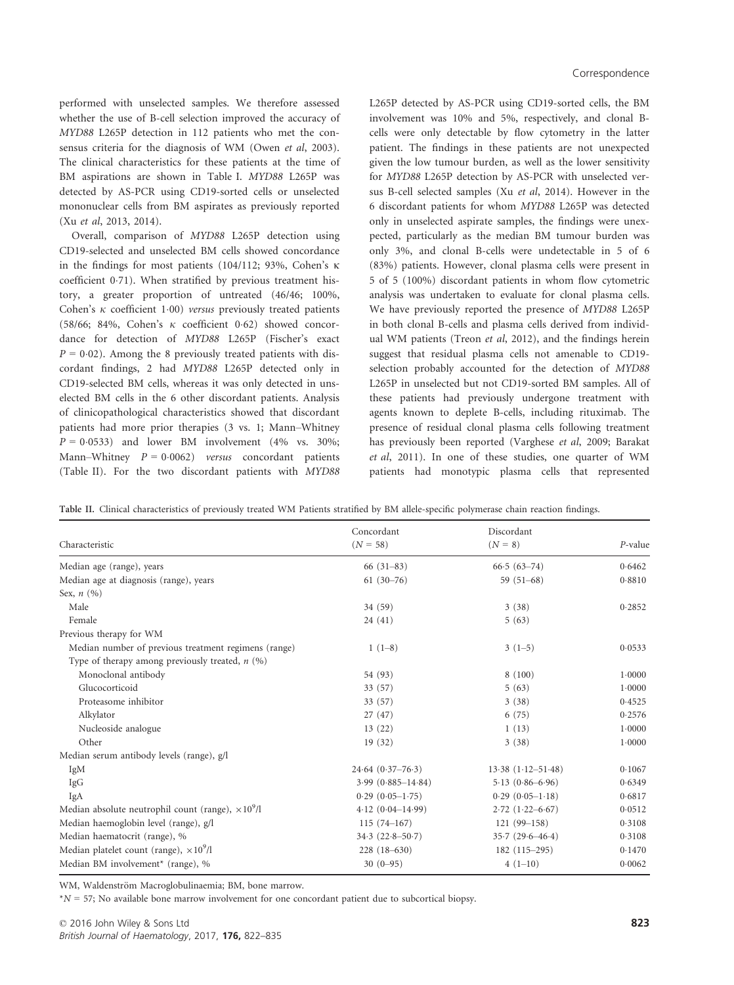performed with unselected samples. We therefore assessed whether the use of B-cell selection improved the accuracy of MYD88 L265P detection in 112 patients who met the consensus criteria for the diagnosis of WM (Owen et al, 2003). The clinical characteristics for these patients at the time of BM aspirations are shown in Table I. MYD88 L265P was detected by AS-PCR using CD19-sorted cells or unselected mononuclear cells from BM aspirates as previously reported (Xu et al, 2013, 2014).

Overall, comparison of MYD88 L265P detection using CD19-selected and unselected BM cells showed concordance in the findings for most patients (104/112; 93%, Cohen's  $\kappa$ coefficient 0.71). When stratified by previous treatment history, a greater proportion of untreated (46/46; 100%, Cohen's  $\kappa$  coefficient 1.00) versus previously treated patients (58/66; 84%, Cohen's  $\kappa$  coefficient 0.62) showed concordance for detection of MYD88 L265P (Fischer's exact  $P = 0.02$ ). Among the 8 previously treated patients with discordant findings, 2 had MYD88 L265P detected only in CD19-selected BM cells, whereas it was only detected in unselected BM cells in the 6 other discordant patients. Analysis of clinicopathological characteristics showed that discordant patients had more prior therapies (3 vs. 1; Mann–Whitney  $P = 0.0533$ ) and lower BM involvement (4% vs. 30%; Mann–Whitney  $P = 0.0062$ ) versus concordant patients (Table II). For the two discordant patients with MYD88 L265P detected by AS-PCR using CD19-sorted cells, the BM involvement was 10% and 5%, respectively, and clonal Bcells were only detectable by flow cytometry in the latter patient. The findings in these patients are not unexpected given the low tumour burden, as well as the lower sensitivity for MYD88 L265P detection by AS-PCR with unselected versus B-cell selected samples (Xu et al, 2014). However in the 6 discordant patients for whom MYD88 L265P was detected only in unselected aspirate samples, the findings were unexpected, particularly as the median BM tumour burden was only 3%, and clonal B-cells were undetectable in 5 of 6 (83%) patients. However, clonal plasma cells were present in 5 of 5 (100%) discordant patients in whom flow cytometric analysis was undertaken to evaluate for clonal plasma cells. We have previously reported the presence of MYD88 L265P in both clonal B-cells and plasma cells derived from individual WM patients (Treon et al, 2012), and the findings herein suggest that residual plasma cells not amenable to CD19 selection probably accounted for the detection of MYD88 L265P in unselected but not CD19-sorted BM samples. All of these patients had previously undergone treatment with agents known to deplete B-cells, including rituximab. The presence of residual clonal plasma cells following treatment has previously been reported (Varghese et al, 2009; Barakat et al, 2011). In one of these studies, one quarter of WM patients had monotypic plasma cells that represented

| Characteristic                                             | Concordant            | Discordant               |            |
|------------------------------------------------------------|-----------------------|--------------------------|------------|
|                                                            | $(N = 58)$            | $(N = 8)$                | $P$ -value |
| Median age (range), years                                  | $66(31-83)$           | $66.5(63-74)$            | 0.6462     |
| Median age at diagnosis (range), years                     | $61(30-76)$           | 59 $(51-68)$             | 0.8810     |
| Sex, $n(%)$                                                |                       |                          |            |
| Male                                                       | 34 (59)               | 3(38)                    | 0.2852     |
| Female                                                     | 24(41)                | 5(63)                    |            |
| Previous therapy for WM                                    |                       |                          |            |
| Median number of previous treatment regimens (range)       | $1(1-8)$              | $3(1-5)$                 | 0.0533     |
| Type of therapy among previously treated, $n$ (%)          |                       |                          |            |
| Monoclonal antibody                                        | 54 (93)               | 8(100)                   | 1.0000     |
| Glucocorticoid                                             | 33 (57)               | 5(63)                    | 1.0000     |
| Proteasome inhibitor                                       | 33 (57)               | 3(38)                    | 0.4525     |
| Alkylator                                                  | 27(47)                | 6(75)                    | 0.2576     |
| Nucleoside analogue                                        | 13(22)                | 1(13)                    | 1.0000     |
| Other                                                      | 19(32)                | 3(38)                    | 1.0000     |
| Median serum antibody levels (range), g/l                  |                       |                          |            |
| IgM                                                        | $24.64(0.37-76.3)$    | $13.38$ $(1.12 - 51.48)$ | 0.1067     |
| <b>IgG</b>                                                 | $3.99(0.885 - 14.84)$ | $5.13(0.86 - 6.96)$      | 0.6349     |
| IgA                                                        | $0.29(0.05-1.75)$     | $0.29(0.05-1.18)$        | 0.6817     |
| Median absolute neutrophil count (range), $\times 10^9$ /l | $4.12(0.04-14.99)$    | $2.72(1.22 - 6.67)$      | 0.0512     |
| Median haemoglobin level (range), g/l                      | $115(74-167)$         | $121(99-158)$            | 0.3108     |
| Median haematocrit (range), %                              | $34.3 (22.8 - 50.7)$  | $35.7(29.6 - 46.4)$      | 0.3108     |
| Median platelet count (range), $\times 10^9/l$             | $228(18-630)$         | $182(115-295)$           | 0.1470     |
| Median BM involvement <sup>*</sup> (range), %              | $30(0-95)$            | $4(1-10)$                | 0.0062     |
|                                                            |                       |                          |            |

Table II. Clinical characteristics of previously treated WM Patients stratified by BM allele-specific polymerase chain reaction findings.

WM, Waldenström Macroglobulinaemia; BM, bone marrow.

 $*N = 57$ ; No available bone marrow involvement for one concordant patient due to subcortical biopsy.